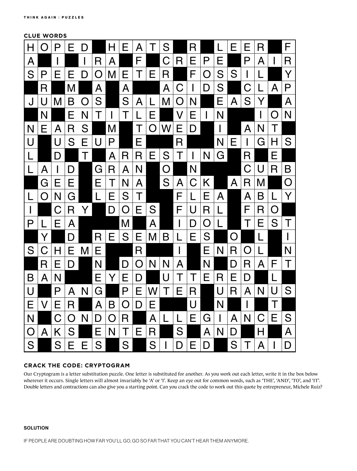# **CLUE WORDS**



## **CRACK THE CODE: CRYPTOGRAM**

Our Cryptogram is a letter substitution puzzle. One letter is substituted for another. As you work out each letter, write it in the box below wherever it occurs. Single letters will almost invariably be 'A' or 'I'. Keep an eye out for common words, such as 'THE', 'AND', 'TO', and 'IT'. Double letters and contractions can also give you a starting point. Can you crack the code to work out this quote by entrepreneur, Michele Ruiz?

### **SOLUTION**

IF PEOPLE ARE DOUBTING HOW FAR YOU'LL GO, GO SO FAR THAT YOU CAN'T HEAR THEM ANYMORE.